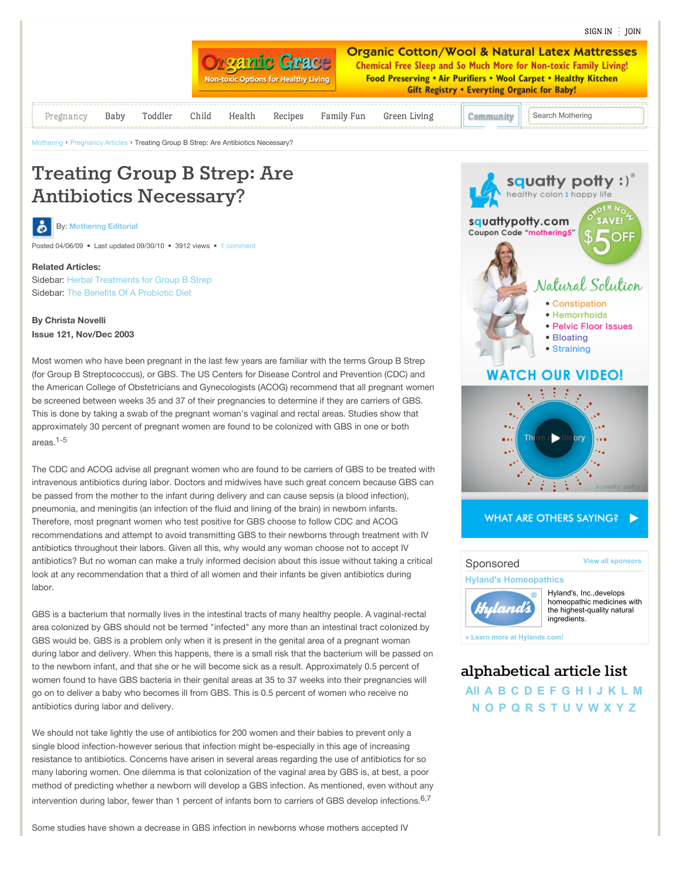

# **Treating Group B Strep: Are Antibiotics Necessary?**

**By: [Mothering Editorial](http://www.mothering.com/community/u/208369/mothering-editorial)** 

Posted 04/06/09 • Last updated 09/30/10 • 3912 views • [1 comment](http://www.mothering.com/community/a/treating-group-b-strep-are-antibiotics-necessary#comment-list)

### **Related Articles:**

Sidebar: [Herbal Treatments for Group B Strep](http://www.mothering.com/pregnancy-birth/herbal-treatments-for-group-b-strep) Sidebar: [The Benefits Of A Probiotic Diet](http://www.mothering.com/pregnancy-birth/benefits-of-a-probiotic-diet)

## **By Christa Novelli Issue 121, Nov/Dec 2003**

Most women who have been pregnant in the last few years are familiar with the terms Group B Strep (for Group B Streptococcus), or GBS. The US Centers for Disease Control and Prevention (CDC) and the American College of Obstetricians and Gynecologists (ACOG) recommend that all pregnant women be screened between weeks 35 and 37 of their pregnancies to determine if they are carriers of GBS. This is done by taking a swab of the pregnant woman's vaginal and rectal areas. Studies show that approximately 30 percent of pregnant women are found to be colonized with GBS in one or both areas.1-5

The CDC and ACOG advise all pregnant women who are found to be carriers of GBS to be treated with intravenous antibiotics during labor. Doctors and midwives have such great concern because GBS can be passed from the mother to the infant during delivery and can cause sepsis (a blood infection), pneumonia, and meningitis (an infection of the fluid and lining of the brain) in newborn infants. Therefore, most pregnant women who test positive for GBS choose to follow CDC and ACOG recommendations and attempt to avoid transmitting GBS to their newborns through treatment with IV antibiotics throughout their labors. Given all this, why would any woman choose not to accept IV antibiotics? But no woman can make a truly informed decision about this issue without taking a critical look at any recommendation that a third of all women and their infants be given antibiotics during labor.

GBS is a bacterium that normally lives in the intestinal tracts of many healthy people. A vaginal-rectal area colonized by GBS should not be termed "infected" any more than an intestinal tract colonized by GBS would be. GBS is a problem only when it is present in the genital area of a pregnant woman during labor and delivery. When this happens, there is a small risk that the bacterium will be passed on to the newborn infant, and that she or he will become sick as a result. Approximately 0.5 percent of women found to have GBS bacteria in their genital areas at 35 to 37 weeks into their pregnancies will go on to deliver a baby who becomes ill from GBS. This is 0.5 percent of women who receive no antibiotics during labor and delivery.

We should not take lightly the use of antibiotics for 200 women and their babies to prevent only a single blood infection-however serious that infection might be-especially in this age of increasing resistance to antibiotics. Concerns have arisen in several areas regarding the use of antibiotics for so many laboring women. One dilemma is that colonization of the vaginal area by GBS is, at best, a poor method of predicting whether a newborn will develop a GBS infection. As mentioned, even without any intervention during labor, fewer than 1 percent of infants born to carriers of GBS develop infections.<sup>6,7</sup>

Some studies have shown a decrease in GBS infection in newborns whose mothers accepted IV

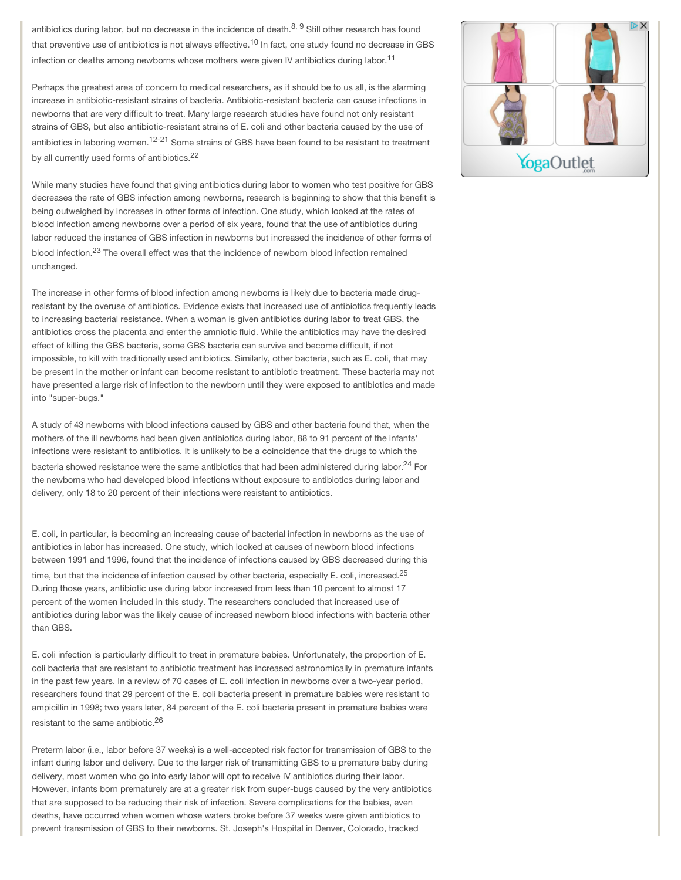antibiotics during labor, but no decrease in the incidence of death.<sup>8, 9</sup> Still other research has found that preventive use of antibiotics is not always effective.<sup>10</sup> In fact, one study found no decrease in GBS infection or deaths among newborns whose mothers were given IV antibiotics during labor.<sup>11</sup>

Perhaps the greatest area of concern to medical researchers, as it should be to us all, is the alarming increase in antibiotic-resistant strains of bacteria. Antibiotic-resistant bacteria can cause infections in newborns that are very difficult to treat. Many large research studies have found not only resistant strains of GBS, but also antibiotic-resistant strains of E. coli and other bacteria caused by the use of antibiotics in laboring women.<sup>12-21</sup> Some strains of GBS have been found to be resistant to treatment by all currently used forms of antibiotics.<sup>22</sup>

While many studies have found that giving antibiotics during labor to women who test positive for GBS decreases the rate of GBS infection among newborns, research is beginning to show that this benefit is being outweighed by increases in other forms of infection. One study, which looked at the rates of blood infection among newborns over a period of six years, found that the use of antibiotics during labor reduced the instance of GBS infection in newborns but increased the incidence of other forms of blood infection.<sup>23</sup> The overall effect was that the incidence of newborn blood infection remained unchanged.

The increase in other forms of blood infection among newborns is likely due to bacteria made drugresistant by the overuse of antibiotics. Evidence exists that increased use of antibiotics frequently leads to increasing bacterial resistance. When a woman is given antibiotics during labor to treat GBS, the antibiotics cross the placenta and enter the amniotic fluid. While the antibiotics may have the desired effect of killing the GBS bacteria, some GBS bacteria can survive and become difficult, if not impossible, to kill with traditionally used antibiotics. Similarly, other bacteria, such as E. coli, that may be present in the mother or infant can become resistant to antibiotic treatment. These bacteria may not have presented a large risk of infection to the newborn until they were exposed to antibiotics and made into "super-bugs."

A study of 43 newborns with blood infections caused by GBS and other bacteria found that, when the mothers of the ill newborns had been given antibiotics during labor, 88 to 91 percent of the infants' infections were resistant to antibiotics. It is unlikely to be a coincidence that the drugs to which the bacteria showed resistance were the same antibiotics that had been administered during labor.<sup>24</sup> For the newborns who had developed blood infections without exposure to antibiotics during labor and delivery, only 18 to 20 percent of their infections were resistant to antibiotics.

E. coli, in particular, is becoming an increasing cause of bacterial infection in newborns as the use of antibiotics in labor has increased. One study, which looked at causes of newborn blood infections between 1991 and 1996, found that the incidence of infections caused by GBS decreased during this time, but that the incidence of infection caused by other bacteria, especially E. coli, increased.<sup>25</sup> During those years, antibiotic use during labor increased from less than 10 percent to almost 17 percent of the women included in this study. The researchers concluded that increased use of antibiotics during labor was the likely cause of increased newborn blood infections with bacteria other than GBS.

E. coli infection is particularly difficult to treat in premature babies. Unfortunately, the proportion of E. coli bacteria that are resistant to antibiotic treatment has increased astronomically in premature infants in the past few years. In a review of 70 cases of E. coli infection in newborns over a two-year period, researchers found that 29 percent of the E. coli bacteria present in premature babies were resistant to ampicillin in 1998; two years later, 84 percent of the E. coli bacteria present in premature babies were resistant to the same antibiotic.<sup>26</sup>

Preterm labor (i.e., labor before 37 weeks) is a well-accepted risk factor for transmission of GBS to the infant during labor and delivery. Due to the larger risk of transmitting GBS to a premature baby during delivery, most women who go into early labor will opt to receive IV antibiotics during their labor. However, infants born prematurely are at a greater risk from super-bugs caused by the very antibiotics that are supposed to be reducing their risk of infection. Severe complications for the babies, even deaths, have occurred when women whose waters broke before 37 weeks were given antibiotics to prevent transmission of GBS to their newborns. St. Joseph's Hospital in Denver, Colorado, tracked

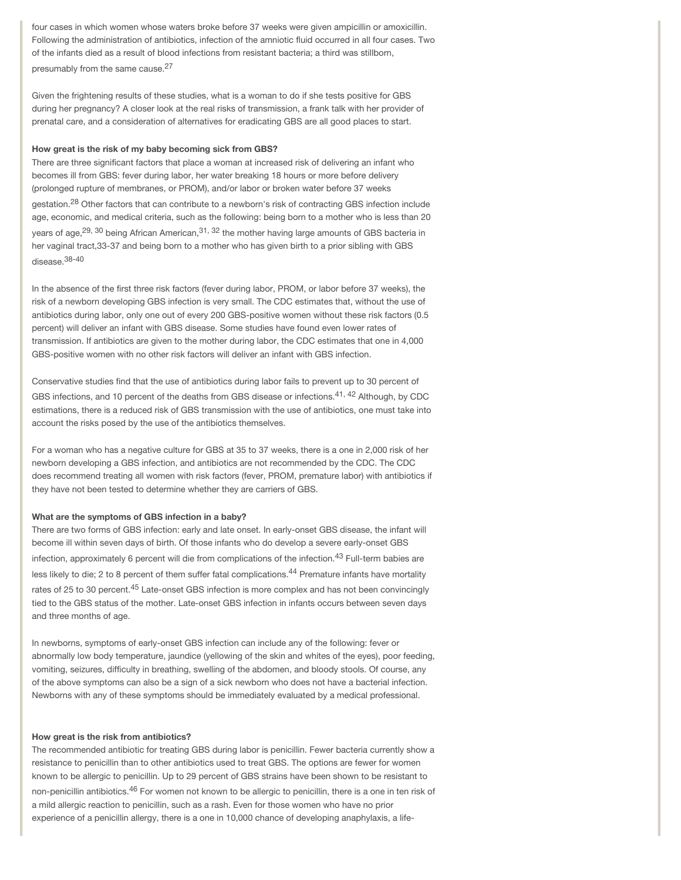four cases in which women whose waters broke before 37 weeks were given ampicillin or amoxicillin. Following the administration of antibiotics, infection of the amniotic fluid occurred in all four cases. Two of the infants died as a result of blood infections from resistant bacteria; a third was stillborn, presumably from the same cause.<sup>27</sup>

Given the frightening results of these studies, what is a woman to do if she tests positive for GBS during her pregnancy? A closer look at the real risks of transmission, a frank talk with her provider of prenatal care, and a consideration of alternatives for eradicating GBS are all good places to start.

#### **How great is the risk of my baby becoming sick from GBS?**

There are three significant factors that place a woman at increased risk of delivering an infant who becomes ill from GBS: fever during labor, her water breaking 18 hours or more before delivery (prolonged rupture of membranes, or PROM), and/or labor or broken water before 37 weeks gestation.<sup>28</sup> Other factors that can contribute to a newborn's risk of contracting GBS infection include age, economic, and medical criteria, such as the following: being born to a mother who is less than 20 years of age, <sup>29, 30</sup> being African American, <sup>31, 32</sup> the mother having large amounts of GBS bacteria in her vaginal tract,33-37 and being born to a mother who has given birth to a prior sibling with GBS disease.38-40

In the absence of the first three risk factors (fever during labor, PROM, or labor before 37 weeks), the risk of a newborn developing GBS infection is very small. The CDC estimates that, without the use of antibiotics during labor, only one out of every 200 GBS-positive women without these risk factors (0.5 percent) will deliver an infant with GBS disease. Some studies have found even lower rates of transmission. If antibiotics are given to the mother during labor, the CDC estimates that one in 4,000 GBS-positive women with no other risk factors will deliver an infant with GBS infection.

Conservative studies find that the use of antibiotics during labor fails to prevent up to 30 percent of GBS infections, and 10 percent of the deaths from GBS disease or infections.<sup>41, 42</sup> Although, by CDC estimations, there is a reduced risk of GBS transmission with the use of antibiotics, one must take into account the risks posed by the use of the antibiotics themselves.

For a woman who has a negative culture for GBS at 35 to 37 weeks, there is a one in 2,000 risk of her newborn developing a GBS infection, and antibiotics are not recommended by the CDC. The CDC does recommend treating all women with risk factors (fever, PROM, premature labor) with antibiotics if they have not been tested to determine whether they are carriers of GBS.

#### **What are the symptoms of GBS infection in a baby?**

There are two forms of GBS infection: early and late onset. In early-onset GBS disease, the infant will become ill within seven days of birth. Of those infants who do develop a severe early-onset GBS infection, approximately 6 percent will die from complications of the infection.43 Full-term babies are less likely to die; 2 to 8 percent of them suffer fatal complications.<sup>44</sup> Premature infants have mortality rates of 25 to 30 percent.<sup>45</sup> Late-onset GBS infection is more complex and has not been convincingly tied to the GBS status of the mother. Late-onset GBS infection in infants occurs between seven days and three months of age.

In newborns, symptoms of early-onset GBS infection can include any of the following: fever or abnormally low body temperature, jaundice (yellowing of the skin and whites of the eyes), poor feeding, vomiting, seizures, difficulty in breathing, swelling of the abdomen, and bloody stools. Of course, any of the above symptoms can also be a sign of a sick newborn who does not have a bacterial infection. Newborns with any of these symptoms should be immediately evaluated by a medical professional.

#### **How great is the risk from antibiotics?**

The recommended antibiotic for treating GBS during labor is penicillin. Fewer bacteria currently show a resistance to penicillin than to other antibiotics used to treat GBS. The options are fewer for women known to be allergic to penicillin. Up to 29 percent of GBS strains have been shown to be resistant to non-penicillin antibiotics.<sup>46</sup> For women not known to be allergic to penicillin, there is a one in ten risk of a mild allergic reaction to penicillin, such as a rash. Even for those women who have no prior experience of a penicillin allergy, there is a one in 10,000 chance of developing anaphylaxis, a life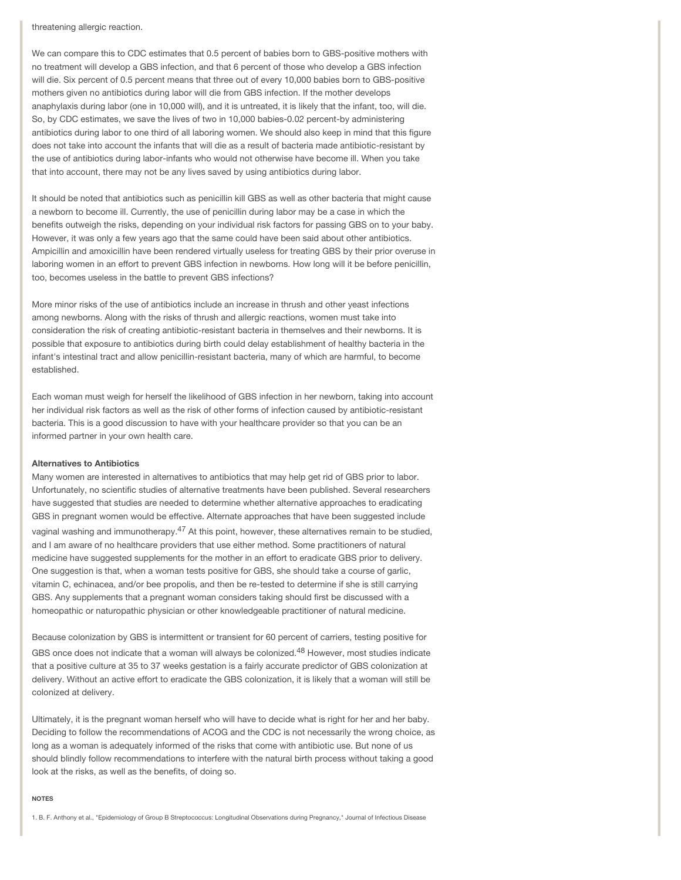threatening allergic reaction.

We can compare this to CDC estimates that 0.5 percent of babies born to GBS-positive mothers with no treatment will develop a GBS infection, and that 6 percent of those who develop a GBS infection will die. Six percent of 0.5 percent means that three out of every 10,000 babies born to GBS-positive mothers given no antibiotics during labor will die from GBS infection. If the mother develops anaphylaxis during labor (one in 10,000 will), and it is untreated, it is likely that the infant, too, will die. So, by CDC estimates, we save the lives of two in 10,000 babies-0.02 percent-by administering antibiotics during labor to one third of all laboring women. We should also keep in mind that this figure does not take into account the infants that will die as a result of bacteria made antibiotic-resistant by the use of antibiotics during labor-infants who would not otherwise have become ill. When you take that into account, there may not be any lives saved by using antibiotics during labor.

It should be noted that antibiotics such as penicillin kill GBS as well as other bacteria that might cause a newborn to become ill. Currently, the use of penicillin during labor may be a case in which the benefits outweigh the risks, depending on your individual risk factors for passing GBS on to your baby. However, it was only a few years ago that the same could have been said about other antibiotics. Ampicillin and amoxicillin have been rendered virtually useless for treating GBS by their prior overuse in laboring women in an effort to prevent GBS infection in newborns. How long will it be before penicillin, too, becomes useless in the battle to prevent GBS infections?

More minor risks of the use of antibiotics include an increase in thrush and other yeast infections among newborns. Along with the risks of thrush and allergic reactions, women must take into consideration the risk of creating antibiotic-resistant bacteria in themselves and their newborns. It is possible that exposure to antibiotics during birth could delay establishment of healthy bacteria in the infant's intestinal tract and allow penicillin-resistant bacteria, many of which are harmful, to become established.

Each woman must weigh for herself the likelihood of GBS infection in her newborn, taking into account her individual risk factors as well as the risk of other forms of infection caused by antibiotic-resistant bacteria. This is a good discussion to have with your healthcare provider so that you can be an informed partner in your own health care.

#### **Alternatives to Antibiotics**

Many women are interested in alternatives to antibiotics that may help get rid of GBS prior to labor. Unfortunately, no scientific studies of alternative treatments have been published. Several researchers have suggested that studies are needed to determine whether alternative approaches to eradicating GBS in pregnant women would be effective. Alternate approaches that have been suggested include vaginal washing and immunotherapy.<sup>47</sup> At this point, however, these alternatives remain to be studied, and I am aware of no healthcare providers that use either method. Some practitioners of natural medicine have suggested supplements for the mother in an effort to eradicate GBS prior to delivery. One suggestion is that, when a woman tests positive for GBS, she should take a course of garlic, vitamin C, echinacea, and/or bee propolis, and then be re-tested to determine if she is still carrying GBS. Any supplements that a pregnant woman considers taking should first be discussed with a homeopathic or naturopathic physician or other knowledgeable practitioner of natural medicine.

Because colonization by GBS is intermittent or transient for 60 percent of carriers, testing positive for GBS once does not indicate that a woman will always be colonized.<sup>48</sup> However, most studies indicate that a positive culture at 35 to 37 weeks gestation is a fairly accurate predictor of GBS colonization at delivery. Without an active effort to eradicate the GBS colonization, it is likely that a woman will still be colonized at delivery.

Ultimately, it is the pregnant woman herself who will have to decide what is right for her and her baby. Deciding to follow the recommendations of ACOG and the CDC is not necessarily the wrong choice, as long as a woman is adequately informed of the risks that come with antibiotic use. But none of us should blindly follow recommendations to interfere with the natural birth process without taking a good look at the risks, as well as the benefits, of doing so.

#### **NOTES**

1. B. F. Anthony et al., "Epidemiology of Group B Streptococcus: Longitudinal Observations during Pregnancy," Journal of Infectious Disease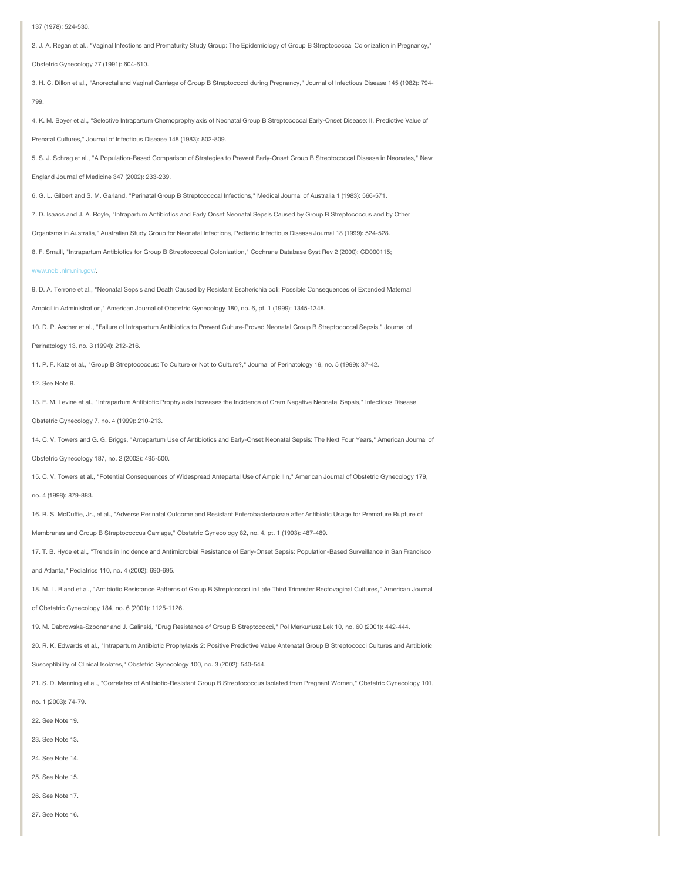137 (1978): 524-530.

799.

2. J. A. Regan et al., "Vaginal Infections and Prematurity Study Group: The Epidemiology of Group B Streptococcal Colonization in Pregnancy,"

Obstetric Gynecology 77 (1991): 604-610.

3. H. C. Dillon et al., "Anorectal and Vaginal Carriage of Group B Streptococci during Pregnancy," Journal of Infectious Disease 145 (1982): 794-

4. K. M. Boyer et al., "Selective Intrapartum Chemoprophylaxis of Neonatal Group B Streptococcal Early-Onset Disease: II. Predictive Value of

Prenatal Cultures," Journal of Infectious Disease 148 (1983): 802-809.

5. S. J. Schrag et al., "A Population-Based Comparison of Strategies to Prevent Early-Onset Group B Streptococcal Disease in Neonates," New

England Journal of Medicine 347 (2002): 233-239.

6. G. L. Gilbert and S. M. Garland, "Perinatal Group B Streptococcal Infections," Medical Journal of Australia 1 (1983): 566-571.

7. D. Isaacs and J. A. Royle, "Intrapartum Antibiotics and Early Onset Neonatal Sepsis Caused by Group B Streptococcus and by Other

Organisms in Australia," Australian Study Group for Neonatal Infections, Pediatric Infectious Disease Journal 18 (1999): 524-528.

8. F. Smaill, "Intrapartum Antibiotics for Group B Streptococcal Colonization," Cochrane Database Syst Rev 2 (2000): CD000115;

[www.ncbi.nlm.nih.gov/.](http://www.ncbi.nlm.nih.gov/)

9. D. A. Terrone et al., "Neonatal Sepsis and Death Caused by Resistant Escherichia coli: Possible Consequences of Extended Maternal

Ampicillin Administration," American Journal of Obstetric Gynecology 180, no. 6, pt. 1 (1999): 1345-1348.

10. D. P. Ascher et al., "Failure of Intrapartum Antibiotics to Prevent Culture-Proved Neonatal Group B Streptococcal Sepsis," Journal of

Perinatology 13, no. 3 (1994): 212-216.

11. P. F. Katz et al., "Group B Streptococcus: To Culture or Not to Culture?," Journal of Perinatology 19, no. 5 (1999): 37-42.

#### 12. See Note 9.

13. E. M. Levine et al., "Intrapartum Antibiotic Prophylaxis Increases the Incidence of Gram Negative Neonatal Sepsis," Infectious Disease

Obstetric Gynecology 7, no. 4 (1999): 210-213.

14. C. V. Towers and G. G. Briggs, "Antepartum Use of Antibiotics and Early-Onset Neonatal Sepsis: The Next Four Years," American Journal of

Obstetric Gynecology 187, no. 2 (2002): 495-500.

15. C. V. Towers et al., "Potential Consequences of Widespread Antepartal Use of Ampicillin," American Journal of Obstetric Gynecology 179,

no. 4 (1998): 879-883.

16. R. S. McDuffie, Jr., et al., "Adverse Perinatal Outcome and Resistant Enterobacteriaceae after Antibiotic Usage for Premature Rupture of

Membranes and Group B Streptococcus Carriage," Obstetric Gynecology 82, no. 4, pt. 1 (1993): 487-489.

17. T. B. Hyde et al., "Trends in Incidence and Antimicrobial Resistance of Early-Onset Sepsis: Population-Based Surveillance in San Francisco

and Atlanta," Pediatrics 110, no. 4 (2002): 690-695.

18. M. L. Bland et al., "Antibiotic Resistance Patterns of Group B Streptococci in Late Third Trimester Rectovaginal Cultures," American Journal

of Obstetric Gynecology 184, no. 6 (2001): 1125-1126.

19. M. Dabrowska-Szponar and J. Galinski, "Drug Resistance of Group B Streptococci," Pol Merkuriusz Lek 10, no. 60 (2001): 442-444.

20. R. K. Edwards et al., "Intrapartum Antibiotic Prophylaxis 2: Positive Predictive Value Antenatal Group B Streptococci Cultures and Antibiotic

Susceptibility of Clinical Isolates," Obstetric Gynecology 100, no. 3 (2002): 540-544.

21. S. D. Manning et al., "Correlates of Antibiotic-Resistant Group B Streptococcus Isolated from Pregnant Women," Obstetric Gynecology 101,

no. 1 (2003): 74-79.

22. See Note 19.

23. See Note 13.

24. See Note 14.

25. See Note 15.

26. See Note 17.

27. See Note 16.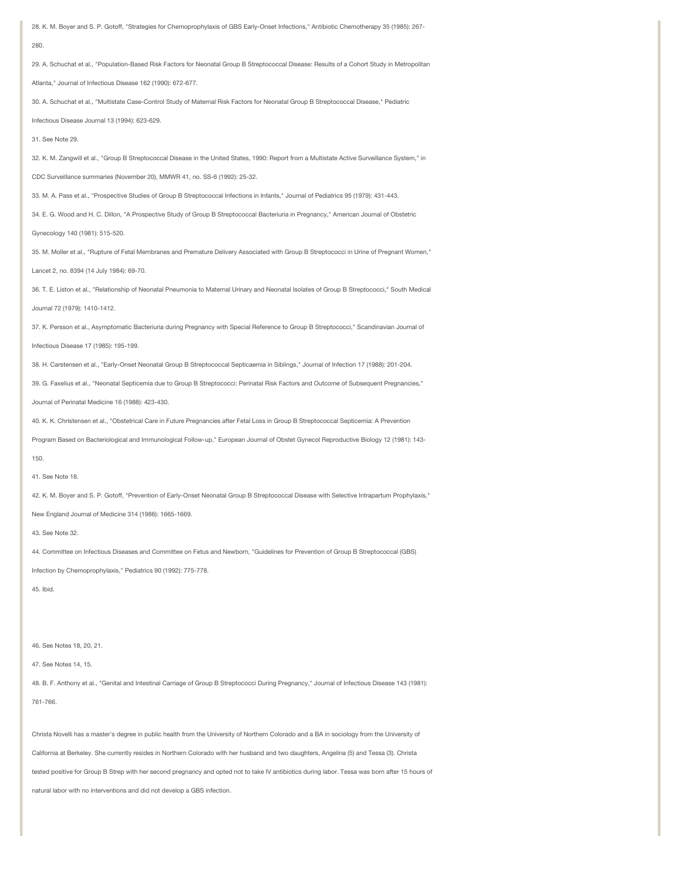28. K. M. Boyer and S. P. Gotoff, "Strategies for Chemoprophylaxis of GBS Early-Onset Infections," Antibiotic Chemotherapy 35 (1985): 267- 280. 29. A. Schuchat et al., "Population-Based Risk Factors for Neonatal Group B Streptococcal Disease: Results of a Cohort Study in Metropolitan Atlanta," Journal of Infectious Disease 162 (1990): 672-677. 30. A. Schuchat et al., "Multistate Case-Control Study of Maternal Risk Factors for Neonatal Group B Streptococcal Disease," Pediatric Infectious Disease Journal 13 (1994): 623-629. 31. See Note 29. 32. K. M. Zangwill et al., "Group B Streptococcal Disease in the United States, 1990: Report from a Multistate Active Surveillance System," in CDC Surveillance summaries (November 20), MMWR 41, no. SS-6 (1992): 25-32. 33. M. A. Pass et al., "Prospective Studies of Group B Streptococcal Infections in Infants," Journal of Pediatrics 95 (1979): 431-443. 34. E. G. Wood and H. C. Dillon, "A Prospective Study of Group B Streptococcal Bacteriuria in Pregnancy," American Journal of Obstetric Gynecology 140 (1981): 515-520. 35. M. Moller et al., "Rupture of Fetal Membranes and Premature Delivery Associated with Group B Streptococci in Urine of Pregnant Women," Lancet 2, no. 8394 (14 July 1984): 69-70. 36. T. E. Liston et al., "Relationship of Neonatal Pneumonia to Maternal Urinary and Neonatal Isolates of Group B Streptococci," South Medical Journal 72 (1979): 1410-1412. 37. K. Persson et al., Asymptomatic Bacteriuria during Pregnancy with Special Reference to Group B Streptococci," Scandinavian Journal of Infectious Disease 17 (1985): 195-199. 38. H. Carstensen et al., "Early-Onset Neonatal Group B Streptococcal Septicaemia in Siblings," Journal of Infection 17 (1988): 201-204. 39. G. Faxelius et al., "Neonatal Septicemia due to Group B Streptococci: Perinatal Risk Factors and Outcome of Subsequent Pregnancies," Journal of Perinatal Medicine 16 (1988): 423-430. 40. K. K. Christensen et al., "Obstetrical Care in Future Pregnancies after Fetal Loss in Group B Streptococcal Septicemia: A Prevention Program Based on Bacteriological and Immunological Follow-up," European Journal of Obstet Gynecol Reproductive Biology 12 (1981): 143- 150. 41. See Note 18. 42. K. M. Boyer and S. P. Gotoff, "Prevention of Early-Onset Neonatal Group B Streptococcal Disease with Selective Intrapartum Prophylaxis," New England Journal of Medicine 314 (1986): 1665-1669. 43. See Note 32. 44. Committee on Infectious Diseases and Committee on Fetus and Newborn, "Guidelines for Prevention of Group B Streptococcal (GBS) Infection by Chemoprophylaxis," Pediatrics 90 (1992): 775-778. 45. Ibid. 46. See Notes 18, 20, 21. 47. See Notes 14, 15. 48. B. F. Anthony et al., "Genital and Intestinal Carriage of Group B Streptococci During Pregnancy," Journal of Infectious Disease 143 (1981): 761-766.

Christa Novelli has a master's degree in public health from the University of Northern Colorado and a BA in sociology from the University of California at Berkeley. She currently resides in Northern Colorado with her husband and two daughters, Angelina (5) and Tessa (3). Christa tested positive for Group B Strep with her second pregnancy and opted not to take IV antibiotics during labor. Tessa was born after 15 hours of natural labor with no interventions and did not develop a GBS infection.